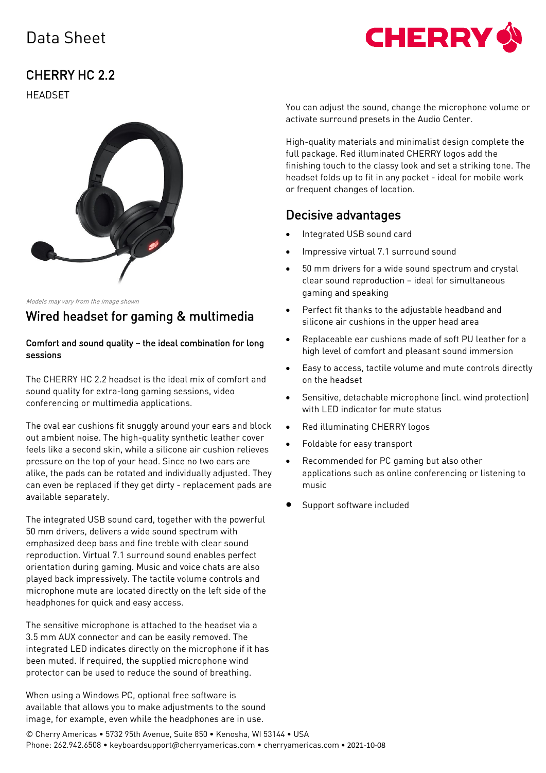

# CHERRY HC 2.2

HEADSET



Models may vary from the image shown

# Wired headset for gaming & multimedia

### Comfort and sound quality – the ideal combination for long sessions

The CHERRY HC 2.2 headset is the ideal mix of comfort and sound quality for extra-long gaming sessions, video conferencing or multimedia applications.

The oval ear cushions fit snuggly around your ears and block out ambient noise. The high-quality synthetic leather cover feels like a second skin, while a silicone air cushion relieves pressure on the top of your head. Since no two ears are alike, the pads can be rotated and individually adjusted. They can even be replaced if they get dirty - replacement pads are available separately.

The integrated USB sound card, together with the powerful 50 mm drivers, delivers a wide sound spectrum with emphasized deep bass and fine treble with clear sound reproduction. Virtual 7.1 surround sound enables perfect orientation during gaming. Music and voice chats are also played back impressively. The tactile volume controls and microphone mute are located directly on the left side of the headphones for quick and easy access.

The sensitive microphone is attached to the headset via a 3.5 mm AUX connector and can be easily removed. The integrated LED indicates directly on the microphone if it has been muted. If required, the supplied microphone wind protector can be used to reduce the sound of breathing.

When using a Windows PC, optional free software is available that allows you to make adjustments to the sound image, for example, even while the headphones are in use.

You can adjust the sound, change the microphone volume or activate surround presets in the Audio Center.

High-quality materials and minimalist design complete the full package. Red illuminated CHERRY logos add the finishing touch to the classy look and set a striking tone. The headset folds up to fit in any pocket - ideal for mobile work or frequent changes of location.

## Decisive advantages

- Integrated USB sound card
- Impressive virtual 7.1 surround sound
- 50 mm drivers for a wide sound spectrum and crystal clear sound reproduction – ideal for simultaneous gaming and speaking
- Perfect fit thanks to the adjustable headband and silicone air cushions in the upper head area
- Replaceable ear cushions made of soft PU leather for a high level of comfort and pleasant sound immersion
- Easy to access, tactile volume and mute controls directly on the headset
- Sensitive, detachable microphone (incl. wind protection) with LED indicator for mute status
- Red illuminating CHERRY logos
- Foldable for easy transport
- Recommended for PC gaming but also other applications such as online conferencing or listening to music
- Support software included

© Cherry Americas • 5732 95th Avenue, Suite 850 • Kenosha, WI 53144 • USA Phone: 262.942.6508 • keyboardsupport@cherryamericas.com • cherryamericas.com • 2021-10-08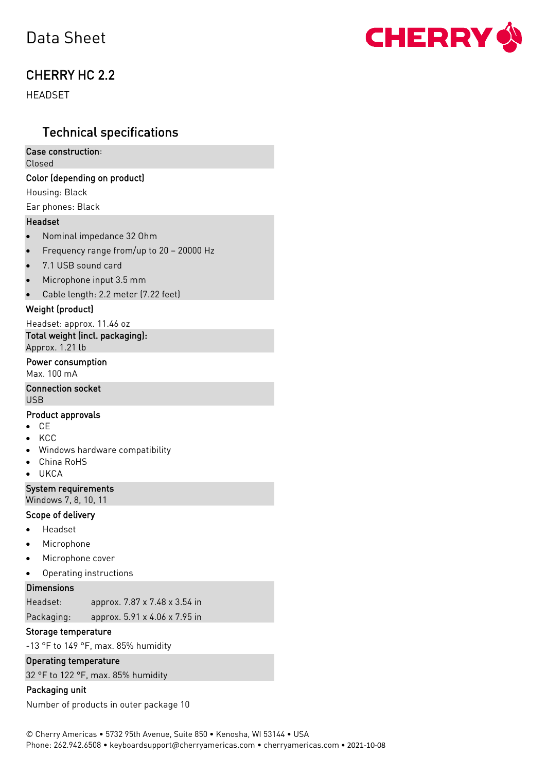# CHERRY HC 2.2

HEADSET

## Technical specifications

### Case construction:

Closed

### Color (depending on product)

Housing: Black

## Ear phones: Black

### Headset

- Nominal impedance 32 Ohm
- Frequency range from/up to 20 20000 Hz
- 7.1 USB sound card
- Microphone input 3.5 mm
- Cable length: 2.2 meter (7.22 feet)

### Weight (product)

Headset: approx. 11.46 oz

Total weight (incl. packaging):

Approx. 1.21 lb

### Power consumption

Max. 100 mA

## Connection socket

USB

#### Product approvals

- CE
- KCC
- Windows hardware compatibility
- China RoHS
- UKCA

### System requirements

Windows 7, 8, 10, 11

#### Scope of delivery

- Headset
- **Microphone**
- Microphone cover
- Operating instructions

#### **Dimensions**

Headset: approx. 7.87 x 7.48 x 3.54 in

Packaging: approx. 5.91 x 4.06 x 7.95 in

#### Storage temperature

-13 °F to 149 °F, max. 85% humidity

### Operating temperature

32 °F to 122 °F, max. 85% humidity

### Packaging unit

Number of products in outer package 10

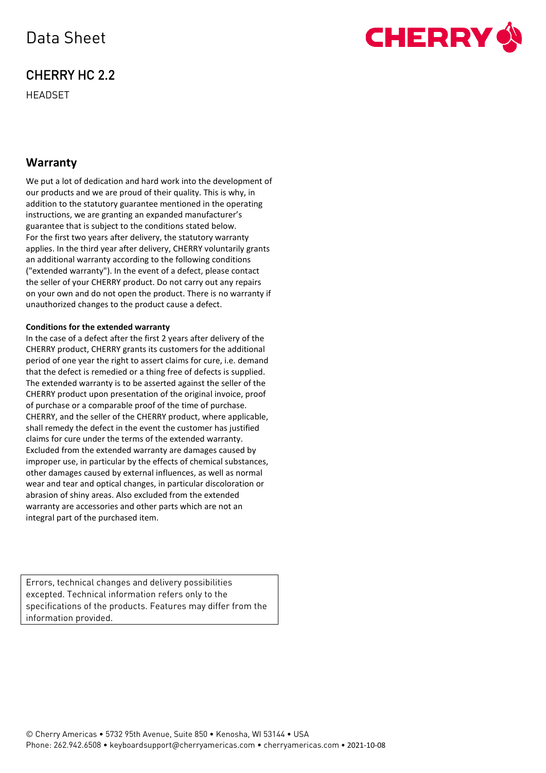# CHERRY HC 2.2

HEADSET



### **Warranty**

We put a lot of dedication and hard work into the development of our products and we are proud of their quality. This is why, in addition to the statutory guarantee mentioned in the operating instructions, we are granting an expanded manufacturer's guarantee that is subject to the conditions stated below. For the first two years after delivery, the statutory warranty applies. In the third year after delivery, CHERRY voluntarily grants an additional warranty according to the following conditions ("extended warranty"). In the event of a defect, please contact the seller of your CHERRY product. Do not carry out any repairs on your own and do not open the product. There is no warranty if unauthorized changes to the product cause a defect.

#### **Conditions for the extended warranty**

In the case of a defect after the first 2 years after delivery of the CHERRY product, CHERRY grants its customers for the additional period of one year the right to assert claims for cure, i.e. demand that the defect is remedied or a thing free of defects is supplied. The extended warranty is to be asserted against the seller of the CHERRY product upon presentation of the original invoice, proof of purchase or a comparable proof of the time of purchase. CHERRY, and the seller of the CHERRY product, where applicable, shall remedy the defect in the event the customer has justified claims for cure under the terms of the extended warranty. Excluded from the extended warranty are damages caused by improper use, in particular by the effects of chemical substances, other damages caused by external influences, as well as normal wear and tear and optical changes, in particular discoloration or abrasion of shiny areas. Also excluded from the extended warranty are accessories and other parts which are not an integral part of the purchased item.

Errors, technical changes and delivery possibilities excepted. Technical information refers only to the specifications of the products. Features may differ from the information provided.